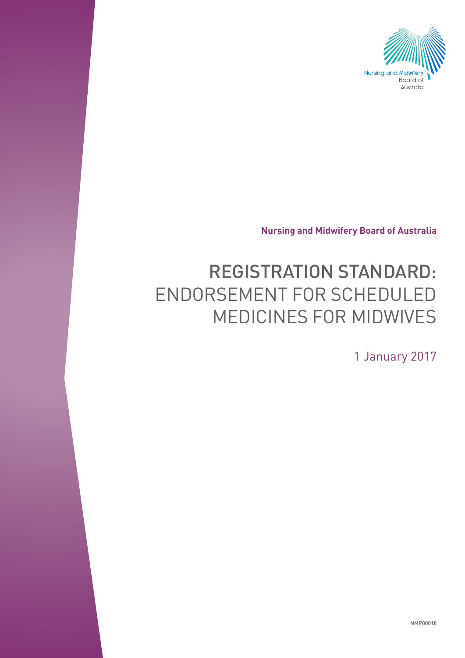

**Nursing and Midwifery Board of Australia**

# REGISTRATION STANDARD: ENDORSEMENT FOR SCHEDULED MEDICINES FOR MIDWIVES

1 January 2017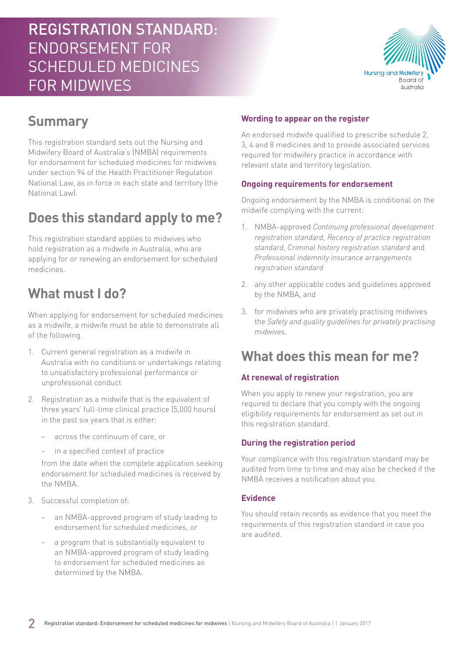# REGISTRATION STANDARD: ENDORSEMENT FOR SCHEDULED MEDICINES FOR MIDWIVES



### **Summary**

This registration standard sets out the Nursing and Midwifery Board of Australia's (NMBA) requirements for endorsement for scheduled medicines for midwives under section 94 of the Health Practitioner Regulation National Law, as in force in each state and territory (the National Law).

### **Does this standard apply to me?**

This registration standard applies to midwives who hold registration as a midwife in Australia, who are applying for or renewing an endorsement for scheduled medicines.

### **What must I do?**

When applying for endorsement for scheduled medicines as a midwife, a midwife must be able to demonstrate all of the following.

- 1. Current general registration as a midwife in Australia with no conditions or undertakings relating to unsatisfactory professional performance or unprofessional conduct
- 2. Registration as a midwife that is the equivalent of three years' full-time clinical practice (5,000 hours) in the past six years that is either:
	- − across the continuum of care, or
	- in a specified context of practice

from the date when the complete application seeking endorsement for scheduled medicines is received by the NMBA.

- 3. Successful completion of:
	- an NMBA-approved program of study leading to endorsement for scheduled medicines, or
	- a program that is substantially equivalent to an NMBA-approved program of study leading to endorsement for scheduled medicines as determined by the NMBA.

#### **Wording to appear on the register**

An endorsed midwife qualified to prescribe schedule 2, 3, 4 and 8 medicines and to provide associated services required for midwifery practice in accordance with relevant state and territory legislation.

#### **Ongoing requirements for endorsement**

Ongoing endorsement by the NMBA is conditional on the midwife complying with the current:

- 1. NMBA-approved *Continuing professional development registration standard*, *Recency of practice registration standard*, *Criminal history registration standard* and *Professional indemnity insurance arrangements registration standard*
- 2. any other applicable codes and guidelines approved by the NMBA, and
- 3. for midwives who are privately practising midwives the *Safety and quality guidelines for privately practising midwives*.

### **What does this mean for me?**

#### **At renewal of registration**

When you apply to renew your registration, you are required to declare that you comply with the ongoing eligibility requirements for endorsement as set out in this registration standard.

#### **During the registration period**

Your compliance with this registration standard may be audited from time to time and may also be checked if the NMBA receives a notification about you.

#### **Evidence**

You should retain records as evidence that you meet the requirements of this registration standard in case you are audited.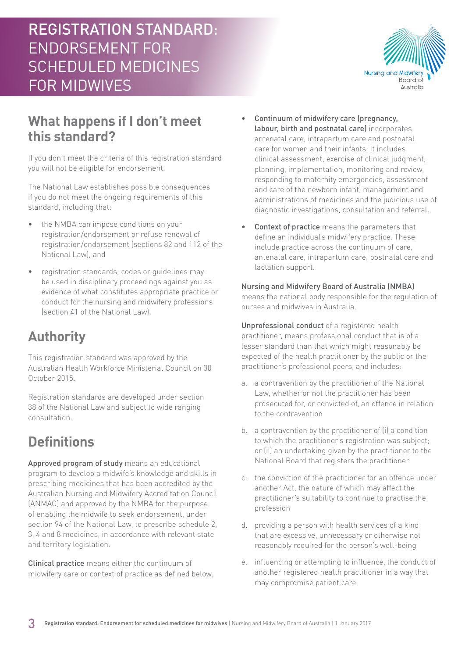# REGISTRATION STANDARD: ENDORSEMENT FOR SCHEDULED MEDICINES FOR MIDWIVES



### **What happens if I don't meet this standard?**

If you don't meet the criteria of this registration standard you will not be eligible for endorsement.

The National Law establishes possible consequences if you do not meet the ongoing requirements of this standard, including that:

- the NMBA can impose conditions on your registration/endorsement or refuse renewal of registration/endorsement (sections 82 and 112 of the National Law), and
- registration standards, codes or guidelines may be used in disciplinary proceedings against you as evidence of what constitutes appropriate practice or conduct for the nursing and midwifery professions (section 41 of the National Law).

### **Authority**

This registration standard was approved by the Australian Health Workforce Ministerial Council on 30 October 2015.

Registration standards are developed under section 38 of the National Law and subject to wide ranging consultation.

# **Definitions**

Approved program of study means an educational program to develop a midwife's knowledge and skills in prescribing medicines that has been accredited by the Australian Nursing and Midwifery Accreditation Council (ANMAC) and approved by the NMBA for the purpose of enabling the midwife to seek endorsement, under section 94 of the National Law, to prescribe schedule 2, 3, 4 and 8 medicines, in accordance with relevant state and territory legislation.

Clinical practice means either the continuum of midwifery care or context of practice as defined below.

- Continuum of midwifery care (pregnancy, labour, birth and postnatal care) incorporates antenatal care, intrapartum care and postnatal care for women and their infants. It includes clinical assessment, exercise of clinical judgment, planning, implementation, monitoring and review, responding to maternity emergencies, assessment and care of the newborn infant, management and administrations of medicines and the judicious use of diagnostic investigations, consultation and referral.
- Context of practice means the parameters that define an individual's midwifery practice. These include practice across the continuum of care, antenatal care, intrapartum care, postnatal care and lactation support.

#### Nursing and Midwifery Board of Australia (NMBA)

means the national body responsible for the regulation of nurses and midwives in Australia.

Unprofessional conduct of a registered health practitioner, means professional conduct that is of a lesser standard than that which might reasonably be expected of the health practitioner by the public or the practitioner's professional peers, and includes:

- a. a contravention by the practitioner of the National Law, whether or not the practitioner has been prosecuted for, or convicted of, an offence in relation to the contravention
- b. a contravention by the practitioner of (i) a condition to which the practitioner's registration was subject; or (ii) an undertaking given by the practitioner to the National Board that registers the practitioner
- c. the conviction of the practitioner for an offence under another Act, the nature of which may affect the practitioner's suitability to continue to practise the profession
- d. providing a person with health services of a kind that are excessive, unnecessary or otherwise not reasonably required for the person's well-being
- e. influencing or attempting to influence, the conduct of another registered health practitioner in a way that may compromise patient care